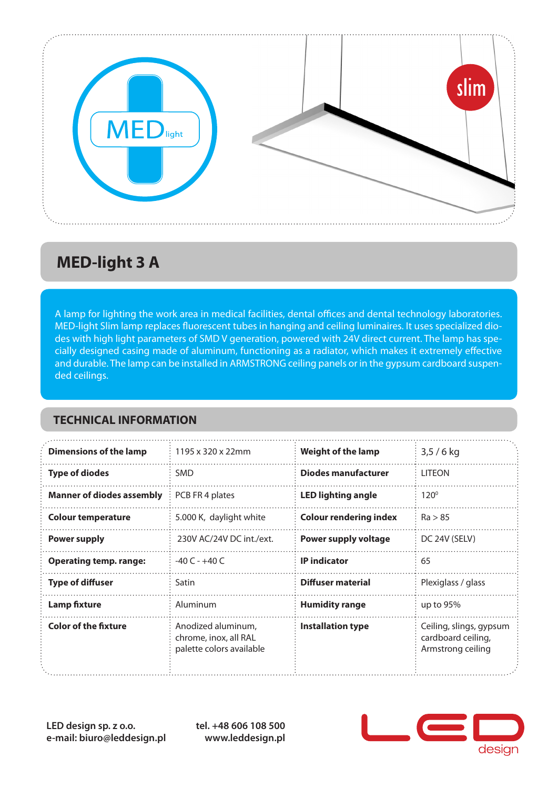

## **MED-light 3 A**

A lamp for lighting the work area in medical facilities, dental offices and dental technology laboratories. MED-light Slim lamp replaces fluorescent tubes in hanging and ceiling luminaires. It uses specialized diodes with high light parameters of SMD V generation, powered with 24V direct current. The lamp has specially designed casing made of aluminum, functioning as a radiator, which makes it extremely effective and durable. The lamp can be installed in ARMSTRONG ceiling panels or in the gypsum cardboard suspended ceilings.

#### **TECHNICAL INFORMATION**

| <b>Dimensions of the lamp</b>    | 1195 x 320 x 22mm                                                       | <b>Weight of the lamp</b>     | $3,5/6$ kg                                                         |
|----------------------------------|-------------------------------------------------------------------------|-------------------------------|--------------------------------------------------------------------|
| <b>Type of diodes</b>            | SMD                                                                     | Diodes manufacturer           | <b>LITEON</b>                                                      |
| <b>Manner of diodes assembly</b> | PCB FR 4 plates                                                         | <b>LED lighting angle</b>     | $120^{\circ}$                                                      |
| <b>Colour temperature</b>        | 5.000 K, daylight white                                                 | <b>Colour rendering index</b> | Ra > 85                                                            |
| <b>Power supply</b>              | 230V AC/24V DC int./ext.                                                | <b>Power supply voltage</b>   | DC 24V (SELV)                                                      |
| <b>Operating temp. range:</b>    | $-40C - +40C$                                                           | <b>IP</b> indicator           | 65                                                                 |
| <b>Type of diffuser</b>          | Satin                                                                   | Diffuser material             | Plexiglass / glass                                                 |
| <b>Lamp fixture</b>              | Aluminum                                                                | <b>Humidity range</b>         | up to $95%$                                                        |
| <b>Color of the fixture</b>      | Anodized aluminum,<br>chrome, inox, all RAL<br>palette colors available | <b>Installation type</b>      | Ceiling, slings, gypsum<br>cardboard ceiling,<br>Armstrong ceiling |

**LED design sp. z o.o. e-mail: biuro@leddesign.pl** **tel. +48 606 108 500 www.leddesign.pl**